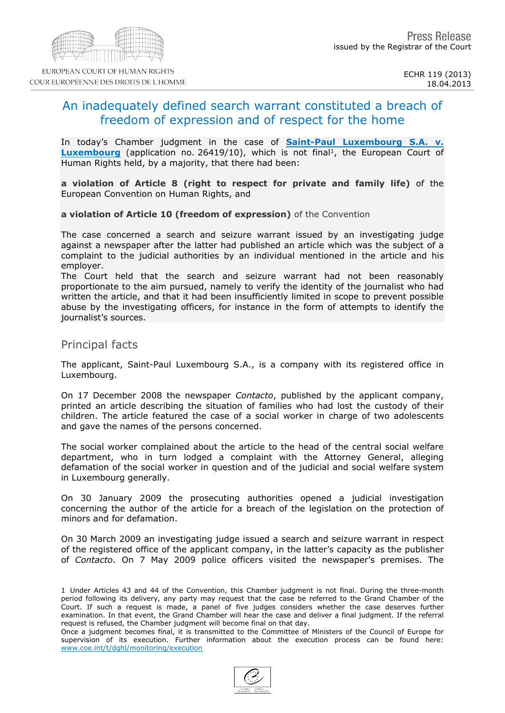# An inadequately defined search warrant constituted a breach of freedom of expression and of respect for the home

In today's Chamber judgment in the case of **[Saint-Paul](http://hudoc.echr.coe.int/sites/fra/pages/search.aspx?i=001-119055) [Luxembourg](http://hudoc.echr.coe.int/sites/fra/pages/search.aspx?i=001-119055)** [S.A.](http://hudoc.echr.coe.int/sites/fra/pages/search.aspx?i=001-119055) [v.](http://hudoc.echr.coe.int/sites/fra/pages/search.aspx?i=001-119055) [Luxembourg](http://hudoc.echr.coe.int/sites/fra/pages/search.aspx?i=001-119055) (application no. 26419/10), which is not final <sup>1</sup>, the European Court of Human Rights held, by a majority, that there had been:

a violation of Article 8 (right to respect for private and family life) of the European Convention on Human Rights, and

a violation of Article 10 (freedom of expression) of the Convention

The case concerned a search and seizure warrant issued by an investigating judge against a newspaper after the latter had published an article which was the subject of a complaint to the judicial authorities by an individual mentioned in the article and his employer.

The Court held that the search and seizure warrant had not been reasonably proportionate to the aim pursued, namely to verify the identity of the journalist who had written the article, and that it had been insufficiently limited in scope to prevent possible abuse by the investigating officers, for instance in the form of attempts to identify the journalist's sources.

#### Principal facts

The applicant, Saint-Paul Luxembourg S.A., is a company with its registered office in Luxembourg.

On 17 December 2008 the newspaper Contacto, published by the applicant company, printed an article describing the situation of families who had lost the custody of their children. The article featured the case of a social worker in charge of two adolescents and gave the names of the persons concerned.

The social worker complained about the article to the head of the central social welfare department, who in turn lodged a complaint with the Attorney General, alleging defamation of the social worker in question and of the judicial and social welfare system in Luxembourg generally.

On 30 January 2009 the prosecuting authorities opened a judicial investigation concerning the author of the article for a breach of the legislation on the protection of minors and for defamation.

On 30 March 2009 an investigating judge issued a search and seizure warrant in respect of the registered office of the applicant company, in the latter's capacity as the publisher of Contacto. On 7 May 2009 police officers visited the newspaper's premises. The

1 Under Articles 43 and 44 of the Convention, this Chamber judgment is not final. During the three-month period following its delivery, any party may request that the case be referred to the Grand Chamber of the Court. If such a request is made, a panel of five judges considers whether the case deserves further examination. In that event, the Grand Chamber will hear the case and deliver a final judgment. If the referral request is refused, the Chamber judgment will become final on that day. Once a judgment becomes final, it is transmitted to the Committee of Ministers of the Council of Europe for supervision of its execution. Further information about the execution process can be found here:

[www.coe.int/t/dghl/monitoring/execution](http://www.coe.int/t/dghl/monitoring/execution)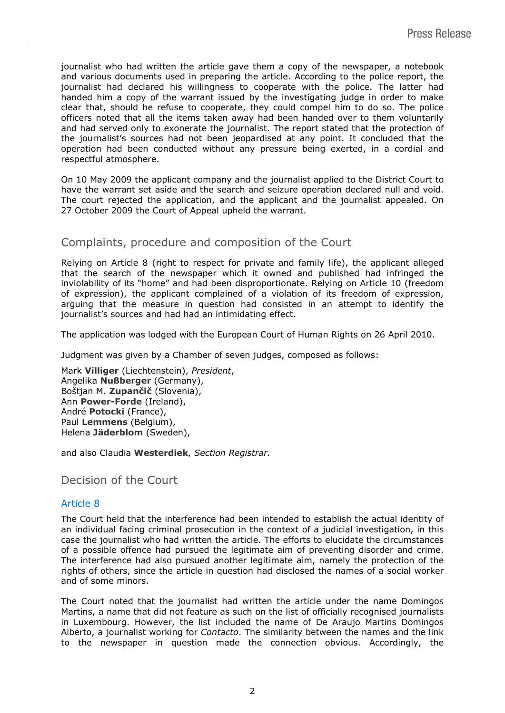journalist who had written the article gave them a copy of the newspaper, a notebook and various documents used in preparing the article. According to the police report, the journalist had declared his willingness to cooperate with the police. The latter had handed him a copy of the warrant issued by the investigating judge in order to make clear that, should he refuse to cooperate, they could compel him to do so. The police officers noted that all the items taken away had been handed over to them voluntarily and had served only to exonerate the journalist. The report stated that the protection of the journalist's sources had not been jeopardised at any point. It concluded that the operation had been conducted without any pressure being exerted, in a cordial and respectful atmosphere.

On 10 May 2009 the applicant company and the journalist applied to the District Court to have the warrant set aside and the search and seizure operation declared null and void. The court rejected the application, and the applicant and the journalist appealed. On 27 October 2009 the Court of Appeal upheld the warrant.

## Complaints, procedure and composition of the Court

Relying on Article 8 (right to respect for private and family life), the applicant alleged that the search of the newspaper which it owned and published had infringed the inviolability of its "home" and had been disproportionate. Relying on Article 10 (freedom of expression), the applicant complained of a violation of its freedom of expression, arguing that the measure in question had consisted in an attempt to identify the journalist's sources and had had an intimidating effect.

The application was lodged with the European Court of Human Rights on 26 April 2010.

Judgment was given by a Chamber of seven judges, composed as follows:

Mark **Villiger** (Liechtenstein), *President*, Angelika **Nußberger** (Germany), Boštjan M. **Zupančič** (Slovenia), Ann **Power-Forde** (Ireland), André **Potocki** (France), Paul **Lemmens** (Belgium), Helena **Jäderblom** (Sweden),

and also Claudia **Westerdiek**, *Section Registrar.*

Decision of the Court

### Article 8

The Court held that the interference had been intended to establish the actual identity of an individual facing criminal prosecution in the context of a judicial investigation, in this case the journalist who had written the article. The efforts to elucidate the circumstances of a possible offence had pursued the legitimate aim of preventing disorder and crime. The interference had also pursued another legitimate aim, namely the protection of the rights of others, since the article in question had disclosed the names of a social worker and of some minors.

The Court noted that the journalist had written the article under the name Domingos Martins, a name that did not feature as such on the list of officially recognised journalists in Luxembourg. However, the list included the name of De Araujo Martins Domingos Alberto, a journalist working for *Contacto*. The similarity between the names and the link to the newspaper in question made the connection obvious. Accordingly, the